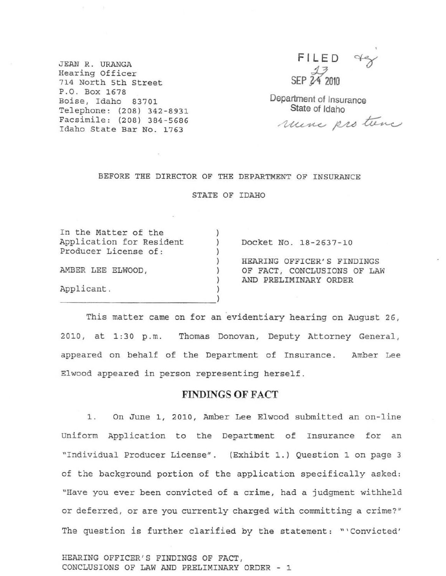JEAN R. URANGA **Hearing Officer 714 North 5th street**  P.O. **Box 1678 Boise, Idaho 83701**  Telephone, (208) 342-8931 **Facsimile: (208) 384 -568 6 Idaho State Bar No. 1763** 

FILED ag  $\frac{13}{24}$  2010

Department of Insurance State of Idaho

rune protune

#### **BEFORE THE DIRECTOR OF THE DEPARTMENT OF INSURANCE**

STATE OF IDAHO

)

)  $\overline{)}$  $\lambda$ ) )

**In the Matter of the Application for Resident Producer License of:**  AMBER LEE ELWOOD,

 $\frac{1}{\sqrt{2}}$ 

**Applicant.** 

) Docket No. 18 -2637-10

HEARING OFFICER'S FINDINGS OF FACT, CONCLUSIONS OF LAW AND PRELIMINARY ORDER

This matter came on for an evidentiary hearing on August 26, 2010, at 1:30 p.m. Thomas Donovan, Deputy Attorney General, **appeared on behalf of the Department of Insurance . Amber Lee Elwood appeared in person representing herself.** 

### FINDINGS OF FACT

1. On June 1, 2010, Amber Lee Elwood submitted an on-line **Uniform Application to the Department of Insurance for an "Individual Producer License" . (Exhibit 1.) Question 1 on page 3 of the background portion of the application specifically asked: "Have you ever been convicted of a crime, had a judgment withheld or deferred, or are you currently charged with committing a crime?" The question is further clarified by the statement: "'Convicted'** 

HEARING OFFICER'S FINDINGS OF FACT, CONCLUSIONS OF LAW AND PRELIMINARY ORDER - 1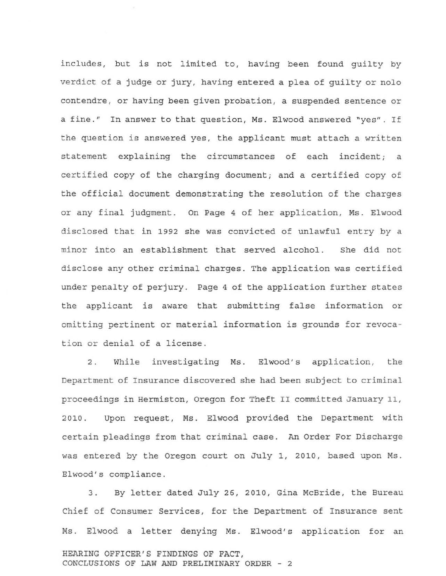includes, but is not limited to, having been found guilty by verdict of a judge or jury, having entered a plea of guilty or nolo contendre , or having been given probation, a suspended sentence or a fine." In answer to that question, Ms. Elwood answered "yes". If the question is answered yes, the applicant must attach a written statement explaining the circumstances of each incident; a certified copy of the charging document; and a certified copy of the official document demonstrating the resolution of the charges or any final judgment. On Page 4 of her application, Ms. Elwood disclosed that in 1992 she was convicted of unlawful entry by a minor into an establishment that served alcohol. She did not disclose any other criminal charges. The application was certified under penalty of perjury. Page 4 of the application further states the applicant is aware that submitting false information or omitting pertinent or material information is grounds for revocation or denial of a license.

2. While investigating Ms. Elwood's application, the Department of Insurance discovered she had been subject to criminal proceedings in Hermiston, Oregon for Theft II committed January 11, 2010. Upon request, Ms. Elwood provided the Department with certain pleadings from that criminal case. An Order For Discharge was entered by the Oregon court on July 1, 2010, based upon Ms. Elwood's compliance.

3. By letter dated July 26, 2010, Gina McBride, the Bureau Chief of Consumer Services, for the Department of Insurance sent Ms. Elwood a letter denying Ms. Elwood's application for an HEARING OFFICER 'S FINDINGS OF FACT, CONCLUSIONS OF LAW AND PRELIMINARY ORDER - 2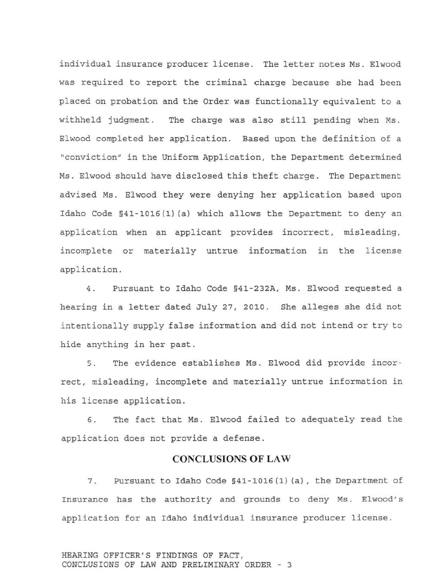individual insurance producer license. The letter notes Ms. Elwood was required to report the criminal charge because she had been placed on probation and the Order was functionally equivalent to a withheld judgment. The charge was also still pending when Ms. Elwood completed her application. Based upon the definition of a "conviction" in the Uniform Application, the Department determined Ms. Elwood should have disclosed this theft charge. The Department advised Ms. Elwood they were denying her application based upon Idaho Code §41-1016(1)(a) which allows the Department to deny an application when an applicant provides incorrect, misleading, incomplete or materially untrue information in the license application.

4. Pursuant to Idaho Code §41-232A, Ms. Elwood requested a hearing in a letter dated July 27, 2010. She alleges she did not intentionally supply false information and did not intend or try to hide anything in her past.

5. The evidence establishes Ms. Elwood did provide incorrect, misleading, incomplete and materially untrue information in his license application.

6. The fact that Ms. Elwood failed to adequately read the application does not provide a defense.

## **CONCLUSIONS OF LAW**

7. Pursuant to Idaho Code §41-1016(1) (a), the Department of Insurance has the authority and grounds to deny Ms. Elwood's application for an Idaho individual insurance producer license.

HEARING OFFICER'S FINDINGS OF FACT, CONCLUSIONS OF LAW AND PRELIMINARY ORDER - 3